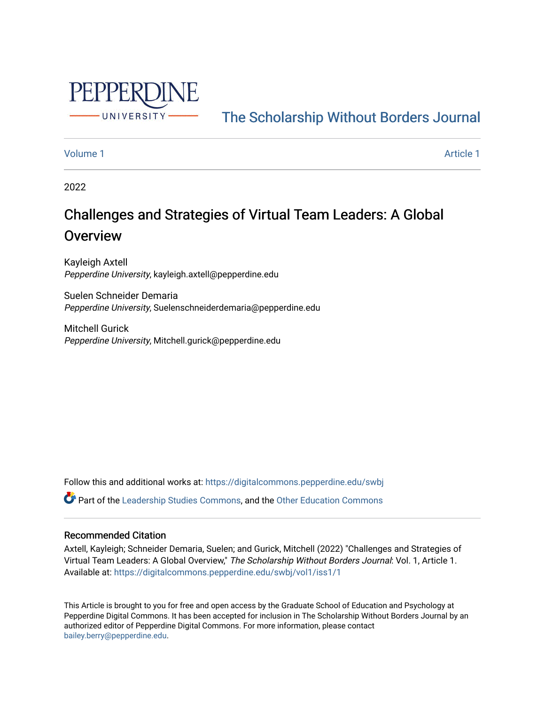

## [The Scholarship Without Borders Journal](https://digitalcommons.pepperdine.edu/swbj)

## [Volume 1](https://digitalcommons.pepperdine.edu/swbj/vol1) [Article 1](https://digitalcommons.pepperdine.edu/swbj/vol1/iss1/1) Article 1 Article 1 Article 1 Article 1 Article 1 Article 1 Article 1 Article 1 Article 1 A

2022

# Challenges and Strategies of Virtual Team Leaders: A Global **Overview**

Kayleigh Axtell Pepperdine University, kayleigh.axtell@pepperdine.edu

Suelen Schneider Demaria Pepperdine University, Suelenschneiderdemaria@pepperdine.edu

Mitchell Gurick Pepperdine University, Mitchell.gurick@pepperdine.edu

Follow this and additional works at: [https://digitalcommons.pepperdine.edu/swbj](https://digitalcommons.pepperdine.edu/swbj?utm_source=digitalcommons.pepperdine.edu%2Fswbj%2Fvol1%2Fiss1%2F1&utm_medium=PDF&utm_campaign=PDFCoverPages)

Part of the [Leadership Studies Commons,](https://network.bepress.com/hgg/discipline/1250?utm_source=digitalcommons.pepperdine.edu%2Fswbj%2Fvol1%2Fiss1%2F1&utm_medium=PDF&utm_campaign=PDFCoverPages) and the [Other Education Commons](https://network.bepress.com/hgg/discipline/811?utm_source=digitalcommons.pepperdine.edu%2Fswbj%2Fvol1%2Fiss1%2F1&utm_medium=PDF&utm_campaign=PDFCoverPages)

## Recommended Citation

Axtell, Kayleigh; Schneider Demaria, Suelen; and Gurick, Mitchell (2022) "Challenges and Strategies of Virtual Team Leaders: A Global Overview," The Scholarship Without Borders Journal: Vol. 1, Article 1. Available at: [https://digitalcommons.pepperdine.edu/swbj/vol1/iss1/1](https://digitalcommons.pepperdine.edu/swbj/vol1/iss1/1?utm_source=digitalcommons.pepperdine.edu%2Fswbj%2Fvol1%2Fiss1%2F1&utm_medium=PDF&utm_campaign=PDFCoverPages) 

This Article is brought to you for free and open access by the Graduate School of Education and Psychology at Pepperdine Digital Commons. It has been accepted for inclusion in The Scholarship Without Borders Journal by an authorized editor of Pepperdine Digital Commons. For more information, please contact [bailey.berry@pepperdine.edu](mailto:bailey.berry@pepperdine.edu).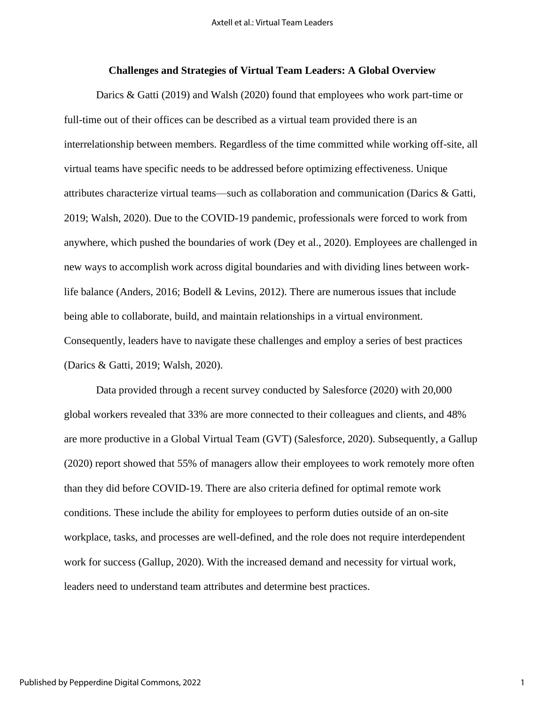#### **Challenges and Strategies of Virtual Team Leaders: A Global Overview**

Darics & Gatti (2019) and Walsh (2020) found that employees who work part-time or full-time out of their offices can be described as a virtual team provided there is an interrelationship between members. Regardless of the time committed while working off-site, all virtual teams have specific needs to be addressed before optimizing effectiveness. Unique attributes characterize virtual teams—such as collaboration and communication (Darics & Gatti, 2019; Walsh, 2020). Due to the COVID-19 pandemic, professionals were forced to work from anywhere, which pushed the boundaries of work (Dey et al., 2020). Employees are challenged in new ways to accomplish work across digital boundaries and with dividing lines between worklife balance (Anders, 2016; Bodell & Levins, 2012). There are numerous issues that include being able to collaborate, build, and maintain relationships in a virtual environment. Consequently, leaders have to navigate these challenges and employ a series of best practices (Darics & Gatti, 2019; Walsh, 2020).

Data provided through a recent survey conducted by Salesforce (2020) with 20,000 global workers revealed that 33% are more connected to their colleagues and clients, and 48% are more productive in a Global Virtual Team (GVT) (Salesforce, 2020). Subsequently, a Gallup (2020) report showed that 55% of managers allow their employees to work remotely more often than they did before COVID-19. There are also criteria defined for optimal remote work conditions. These include the ability for employees to perform duties outside of an on-site workplace, tasks, and processes are well-defined, and the role does not require interdependent work for success (Gallup, 2020). With the increased demand and necessity for virtual work, leaders need to understand team attributes and determine best practices.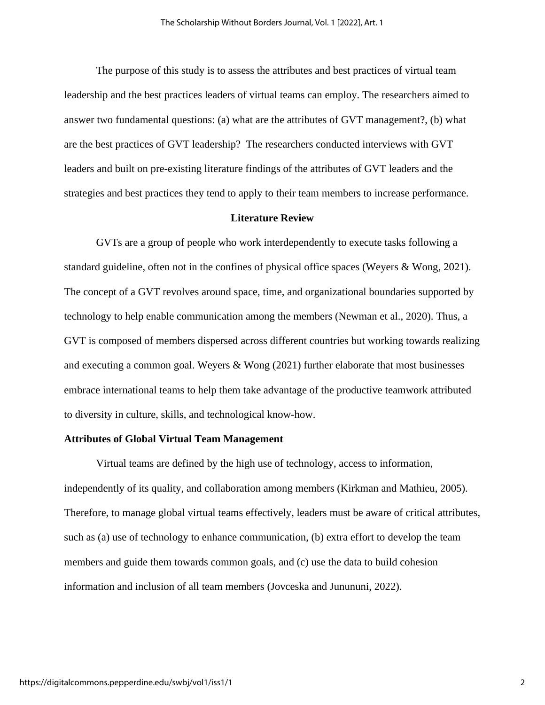The purpose of this study is to assess the attributes and best practices of virtual team leadership and the best practices leaders of virtual teams can employ. The researchers aimed to answer two fundamental questions: (a) what are the attributes of GVT management?, (b) what are the best practices of GVT leadership? The researchers conducted interviews with GVT leaders and built on pre-existing literature findings of the attributes of GVT leaders and the strategies and best practices they tend to apply to their team members to increase performance.

## **Literature Review**

GVTs are a group of people who work interdependently to execute tasks following a standard guideline, often not in the confines of physical office spaces (Weyers & Wong, 2021). The concept of a GVT revolves around space, time, and organizational boundaries supported by technology to help enable communication among the members (Newman et al., 2020). Thus, a GVT is composed of members dispersed across different countries but working towards realizing and executing a common goal. Weyers & Wong (2021) further elaborate that most businesses embrace international teams to help them take advantage of the productive teamwork attributed to diversity in culture, skills, and technological know-how.

#### **Attributes of Global Virtual Team Management**

Virtual teams are defined by the high use of technology, access to information, independently of its quality, and collaboration among members (Kirkman and Mathieu, 2005). Therefore, to manage global virtual teams effectively, leaders must be aware of critical attributes, such as (a) use of technology to enhance communication, (b) extra effort to develop the team members and guide them towards common goals, and (c) use the data to build cohesion information and inclusion of all team members (Jovceska and Junununi, 2022).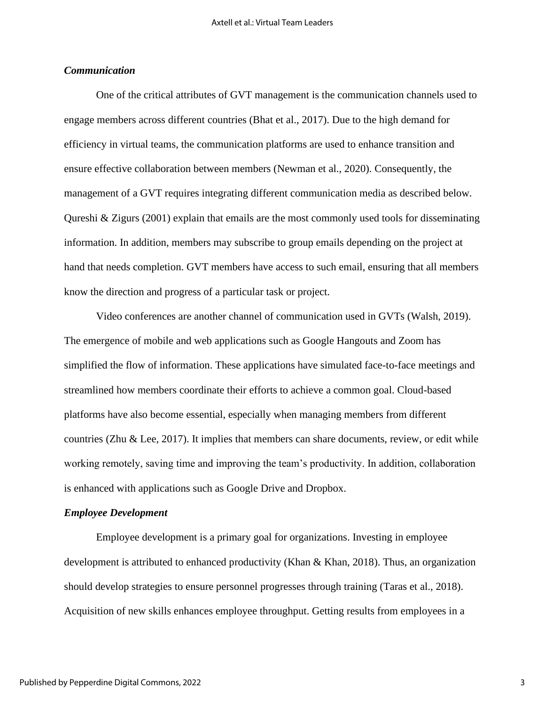## *Communication*

One of the critical attributes of GVT management is the communication channels used to engage members across different countries (Bhat et al., 2017). Due to the high demand for efficiency in virtual teams, the communication platforms are used to enhance transition and ensure effective collaboration between members (Newman et al., 2020). Consequently, the management of a GVT requires integrating different communication media as described below. Qureshi & Zigurs (2001) explain that emails are the most commonly used tools for disseminating information. In addition, members may subscribe to group emails depending on the project at hand that needs completion. GVT members have access to such email, ensuring that all members know the direction and progress of a particular task or project.

Video conferences are another channel of communication used in GVTs (Walsh, 2019). The emergence of mobile and web applications such as Google Hangouts and Zoom has simplified the flow of information. These applications have simulated face-to-face meetings and streamlined how members coordinate their efforts to achieve a common goal. Cloud-based platforms have also become essential, especially when managing members from different countries (Zhu & Lee, 2017). It implies that members can share documents, review, or edit while working remotely, saving time and improving the team's productivity. In addition, collaboration is enhanced with applications such as Google Drive and Dropbox.

#### *Employee Development*

Employee development is a primary goal for organizations. Investing in employee development is attributed to enhanced productivity (Khan & Khan, 2018). Thus, an organization should develop strategies to ensure personnel progresses through training (Taras et al., 2018). Acquisition of new skills enhances employee throughput. Getting results from employees in a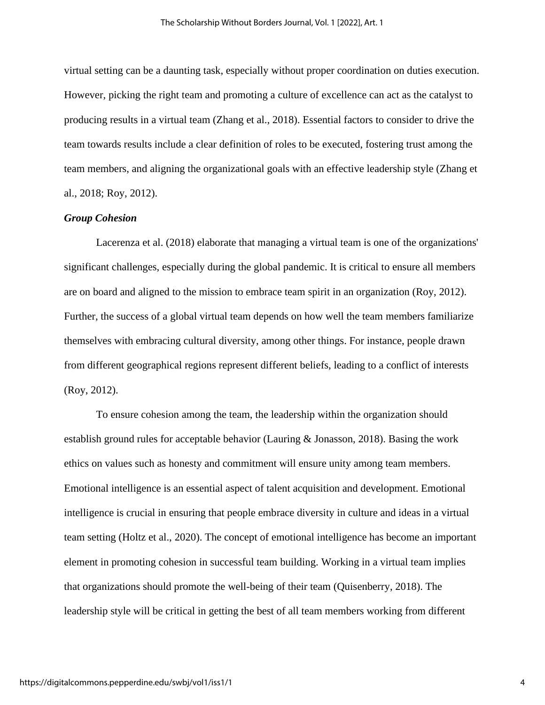virtual setting can be a daunting task, especially without proper coordination on duties execution. However, picking the right team and promoting a culture of excellence can act as the catalyst to producing results in a virtual team (Zhang et al., 2018). Essential factors to consider to drive the team towards results include a clear definition of roles to be executed, fostering trust among the team members, and aligning the organizational goals with an effective leadership style (Zhang et al., 2018; Roy, 2012).

## *Group Cohesion*

Lacerenza et al. (2018) elaborate that managing a virtual team is one of the organizations' significant challenges, especially during the global pandemic. It is critical to ensure all members are on board and aligned to the mission to embrace team spirit in an organization (Roy, 2012). Further, the success of a global virtual team depends on how well the team members familiarize themselves with embracing cultural diversity, among other things. For instance, people drawn from different geographical regions represent different beliefs, leading to a conflict of interests (Roy, 2012).

To ensure cohesion among the team, the leadership within the organization should establish ground rules for acceptable behavior (Lauring & Jonasson, 2018). Basing the work ethics on values such as honesty and commitment will ensure unity among team members. Emotional intelligence is an essential aspect of talent acquisition and development. Emotional intelligence is crucial in ensuring that people embrace diversity in culture and ideas in a virtual team setting (Holtz et al., 2020). The concept of emotional intelligence has become an important element in promoting cohesion in successful team building. Working in a virtual team implies that organizations should promote the well-being of their team (Quisenberry, 2018). The leadership style will be critical in getting the best of all team members working from different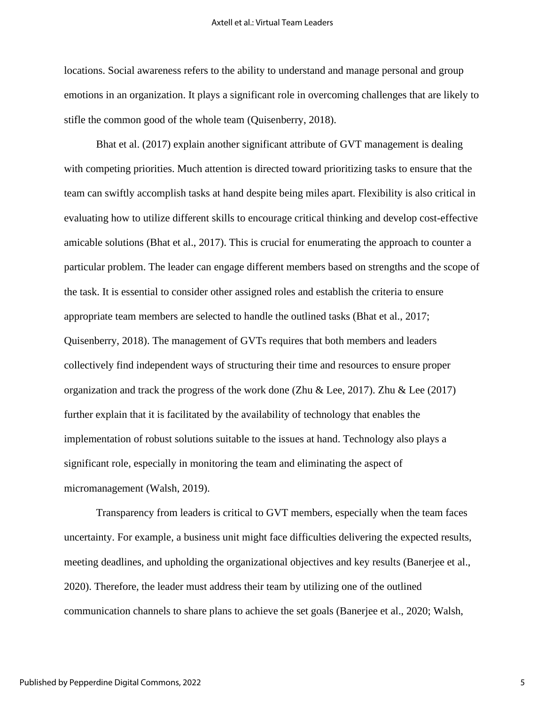locations. Social awareness refers to the ability to understand and manage personal and group emotions in an organization. It plays a significant role in overcoming challenges that are likely to stifle the common good of the whole team (Quisenberry, 2018).

Bhat et al. (2017) explain another significant attribute of GVT management is dealing with competing priorities. Much attention is directed toward prioritizing tasks to ensure that the team can swiftly accomplish tasks at hand despite being miles apart. Flexibility is also critical in evaluating how to utilize different skills to encourage critical thinking and develop cost-effective amicable solutions (Bhat et al., 2017). This is crucial for enumerating the approach to counter a particular problem. The leader can engage different members based on strengths and the scope of the task. It is essential to consider other assigned roles and establish the criteria to ensure appropriate team members are selected to handle the outlined tasks (Bhat et al., 2017; Quisenberry, 2018). The management of GVTs requires that both members and leaders collectively find independent ways of structuring their time and resources to ensure proper organization and track the progress of the work done (Zhu & Lee, 2017). Zhu & Lee (2017) further explain that it is facilitated by the availability of technology that enables the implementation of robust solutions suitable to the issues at hand. Technology also plays a significant role, especially in monitoring the team and eliminating the aspect of micromanagement (Walsh, 2019).

Transparency from leaders is critical to GVT members, especially when the team faces uncertainty. For example, a business unit might face difficulties delivering the expected results, meeting deadlines, and upholding the organizational objectives and key results (Banerjee et al., 2020). Therefore, the leader must address their team by utilizing one of the outlined communication channels to share plans to achieve the set goals (Banerjee et al., 2020; Walsh,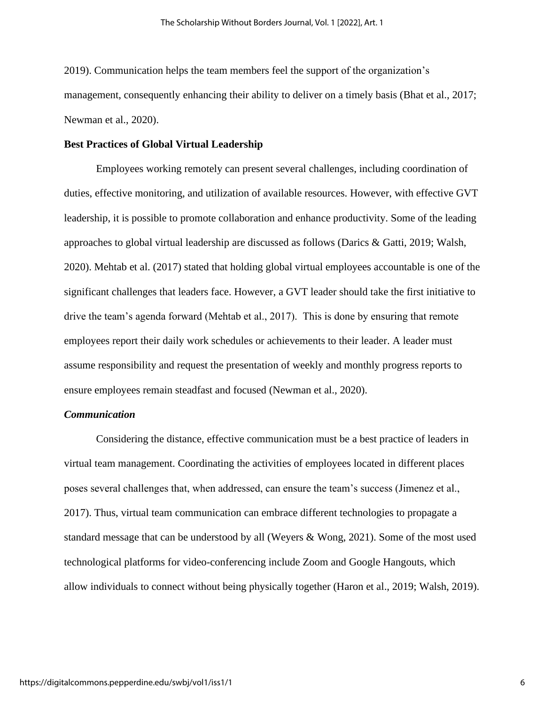2019). Communication helps the team members feel the support of the organization's management, consequently enhancing their ability to deliver on a timely basis (Bhat et al., 2017; Newman et al., 2020).

## **Best Practices of Global Virtual Leadership**

Employees working remotely can present several challenges, including coordination of duties, effective monitoring, and utilization of available resources. However, with effective GVT leadership, it is possible to promote collaboration and enhance productivity. Some of the leading approaches to global virtual leadership are discussed as follows (Darics & Gatti, 2019; Walsh, 2020). Mehtab et al. (2017) stated that holding global virtual employees accountable is one of the significant challenges that leaders face. However, a GVT leader should take the first initiative to drive the team's agenda forward (Mehtab et al., 2017). This is done by ensuring that remote employees report their daily work schedules or achievements to their leader. A leader must assume responsibility and request the presentation of weekly and monthly progress reports to ensure employees remain steadfast and focused (Newman et al., 2020).

#### *Communication*

Considering the distance, effective communication must be a best practice of leaders in virtual team management. Coordinating the activities of employees located in different places poses several challenges that, when addressed, can ensure the team's success (Jimenez et al., 2017). Thus, virtual team communication can embrace different technologies to propagate a standard message that can be understood by all (Weyers & Wong, 2021). Some of the most used technological platforms for video-conferencing include Zoom and Google Hangouts, which allow individuals to connect without being physically together (Haron et al., 2019; Walsh, 2019).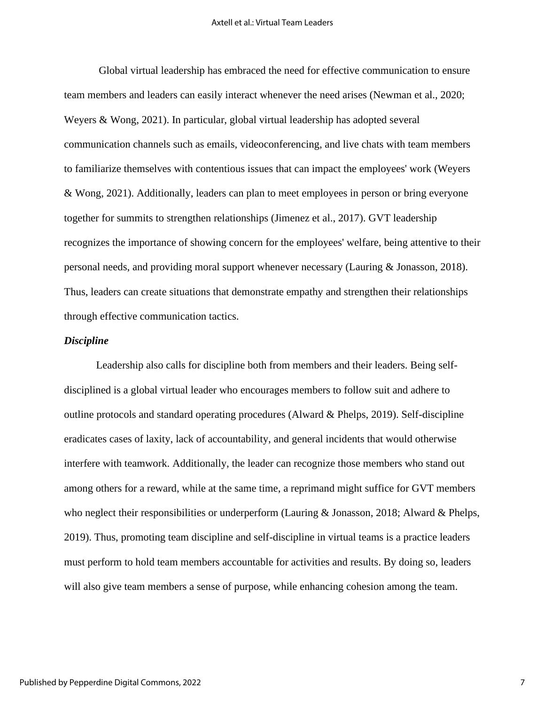Global virtual leadership has embraced the need for effective communication to ensure team members and leaders can easily interact whenever the need arises (Newman et al., 2020; Weyers & Wong, 2021). In particular, global virtual leadership has adopted several communication channels such as emails, videoconferencing, and live chats with team members to familiarize themselves with contentious issues that can impact the employees' work (Weyers & Wong, 2021). Additionally, leaders can plan to meet employees in person or bring everyone together for summits to strengthen relationships (Jimenez et al., 2017). GVT leadership recognizes the importance of showing concern for the employees' welfare, being attentive to their personal needs, and providing moral support whenever necessary (Lauring & Jonasson, 2018). Thus, leaders can create situations that demonstrate empathy and strengthen their relationships through effective communication tactics.

#### *Discipline*

Leadership also calls for discipline both from members and their leaders. Being selfdisciplined is a global virtual leader who encourages members to follow suit and adhere to outline protocols and standard operating procedures (Alward & Phelps, 2019). Self-discipline eradicates cases of laxity, lack of accountability, and general incidents that would otherwise interfere with teamwork. Additionally, the leader can recognize those members who stand out among others for a reward, while at the same time, a reprimand might suffice for GVT members who neglect their responsibilities or underperform (Lauring & Jonasson, 2018; Alward & Phelps, 2019). Thus, promoting team discipline and self-discipline in virtual teams is a practice leaders must perform to hold team members accountable for activities and results. By doing so, leaders will also give team members a sense of purpose, while enhancing cohesion among the team.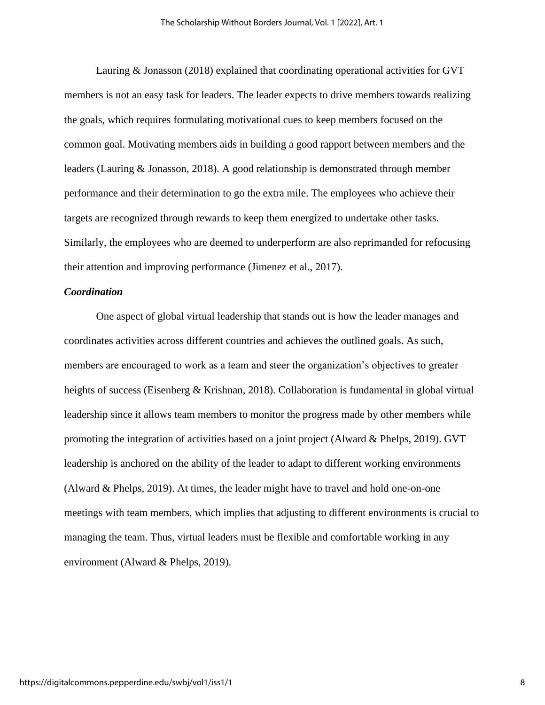Lauring & Jonasson (2018) explained that coordinating operational activities for GVT members is not an easy task for leaders. The leader expects to drive members towards realizing the goals, which requires formulating motivational cues to keep members focused on the common goal. Motivating members aids in building a good rapport between members and the leaders (Lauring & Jonasson, 2018). A good relationship is demonstrated through member performance and their determination to go the extra mile. The employees who achieve their targets are recognized through rewards to keep them energized to undertake other tasks. Similarly, the employees who are deemed to underperform are also reprimanded for refocusing their attention and improving performance (Jimenez et al., 2017).

## *Coordination*

One aspect of global virtual leadership that stands out is how the leader manages and coordinates activities across different countries and achieves the outlined goals. As such, members are encouraged to work as a team and steer the organization's objectives to greater heights of success (Eisenberg & Krishnan, 2018). Collaboration is fundamental in global virtual leadership since it allows team members to monitor the progress made by other members while promoting the integration of activities based on a joint project (Alward & Phelps, 2019). GVT leadership is anchored on the ability of the leader to adapt to different working environments (Alward & Phelps, 2019). At times, the leader might have to travel and hold one-on-one meetings with team members, which implies that adjusting to different environments is crucial to managing the team. Thus, virtual leaders must be flexible and comfortable working in any environment (Alward & Phelps, 2019).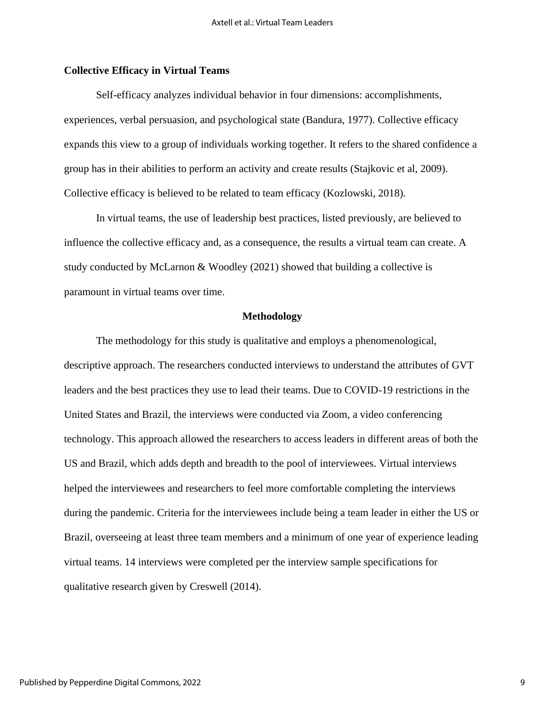## **Collective Efficacy in Virtual Teams**

Self-efficacy analyzes individual behavior in four dimensions: accomplishments, experiences, verbal persuasion, and psychological state (Bandura, 1977). Collective efficacy expands this view to a group of individuals working together. It refers to the shared confidence a group has in their abilities to perform an activity and create results (Stajkovic et al, 2009). Collective efficacy is believed to be related to team efficacy (Kozlowski, 2018).

In virtual teams, the use of leadership best practices, listed previously, are believed to influence the collective efficacy and, as a consequence, the results a virtual team can create. A study conducted by McLarnon & Woodley (2021) showed that building a collective is paramount in virtual teams over time.

#### **Methodology**

The methodology for this study is qualitative and employs a phenomenological, descriptive approach. The researchers conducted interviews to understand the attributes of GVT leaders and the best practices they use to lead their teams. Due to COVID-19 restrictions in the United States and Brazil, the interviews were conducted via Zoom, a video conferencing technology. This approach allowed the researchers to access leaders in different areas of both the US and Brazil, which adds depth and breadth to the pool of interviewees. Virtual interviews helped the interviewees and researchers to feel more comfortable completing the interviews during the pandemic. Criteria for the interviewees include being a team leader in either the US or Brazil, overseeing at least three team members and a minimum of one year of experience leading virtual teams. 14 interviews were completed per the interview sample specifications for qualitative research given by Creswell (2014).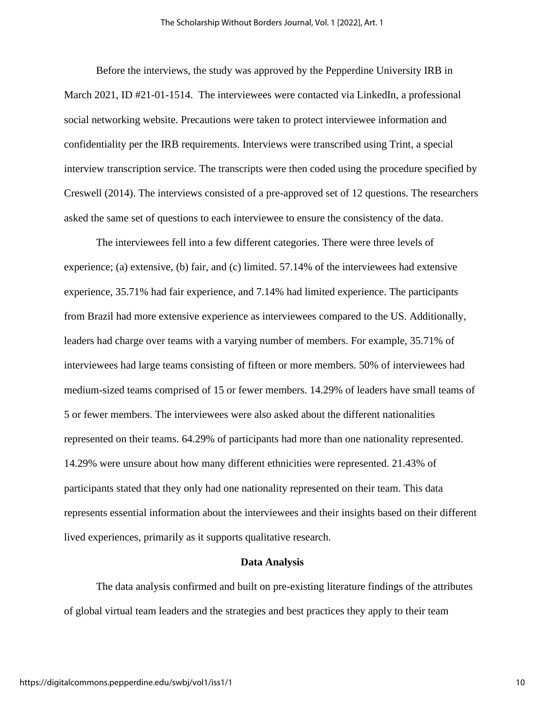Before the interviews, the study was approved by the Pepperdine University IRB in March 2021, ID #21-01-1514. The interviewees were contacted via LinkedIn, a professional social networking website. Precautions were taken to protect interviewee information and confidentiality per the IRB requirements. Interviews were transcribed using Trint, a special interview transcription service. The transcripts were then coded using the procedure specified by Creswell (2014). The interviews consisted of a pre-approved set of 12 questions. The researchers asked the same set of questions to each interviewee to ensure the consistency of the data.

The interviewees fell into a few different categories. There were three levels of experience; (a) extensive, (b) fair, and (c) limited. 57.14% of the interviewees had extensive experience, 35.71% had fair experience, and 7.14% had limited experience. The participants from Brazil had more extensive experience as interviewees compared to the US. Additionally, leaders had charge over teams with a varying number of members. For example, 35.71% of interviewees had large teams consisting of fifteen or more members. 50% of interviewees had medium-sized teams comprised of 15 or fewer members. 14.29% of leaders have small teams of 5 or fewer members. The interviewees were also asked about the different nationalities represented on their teams. 64.29% of participants had more than one nationality represented. 14.29% were unsure about how many different ethnicities were represented. 21.43% of participants stated that they only had one nationality represented on their team. This data represents essential information about the interviewees and their insights based on their different lived experiences, primarily as it supports qualitative research.

## **Data Analysis**

The data analysis confirmed and built on pre-existing literature findings of the attributes of global virtual team leaders and the strategies and best practices they apply to their team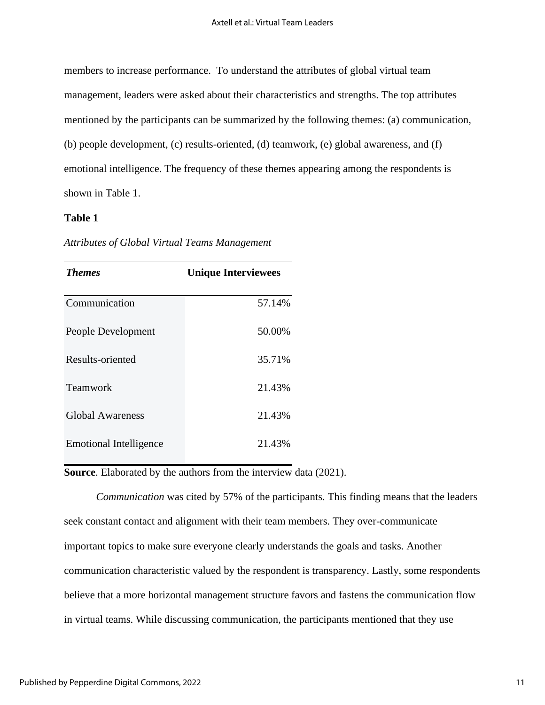members to increase performance. To understand the attributes of global virtual team management, leaders were asked about their characteristics and strengths. The top attributes mentioned by the participants can be summarized by the following themes: (a) communication, (b) people development, (c) results-oriented, (d) teamwork, (e) global awareness, and (f) emotional intelligence. The frequency of these themes appearing among the respondents is shown in Table 1.

## **Table 1**

| <b>Themes</b>                 | <b>Unique Interviewees</b> |
|-------------------------------|----------------------------|
| Communication                 | 57.14%                     |
| People Development            | 50.00%                     |
| Results-oriented              | 35.71%                     |
| <b>Teamwork</b>               | 21.43%                     |
| <b>Global Awareness</b>       | 21.43%                     |
| <b>Emotional Intelligence</b> | 21.43%                     |

*Attributes of Global Virtual Teams Management*

**Source**. Elaborated by the authors from the interview data (2021).

*Communication* was cited by 57% of the participants. This finding means that the leaders seek constant contact and alignment with their team members. They over-communicate important topics to make sure everyone clearly understands the goals and tasks. Another communication characteristic valued by the respondent is transparency. Lastly, some respondents believe that a more horizontal management structure favors and fastens the communication flow in virtual teams. While discussing communication, the participants mentioned that they use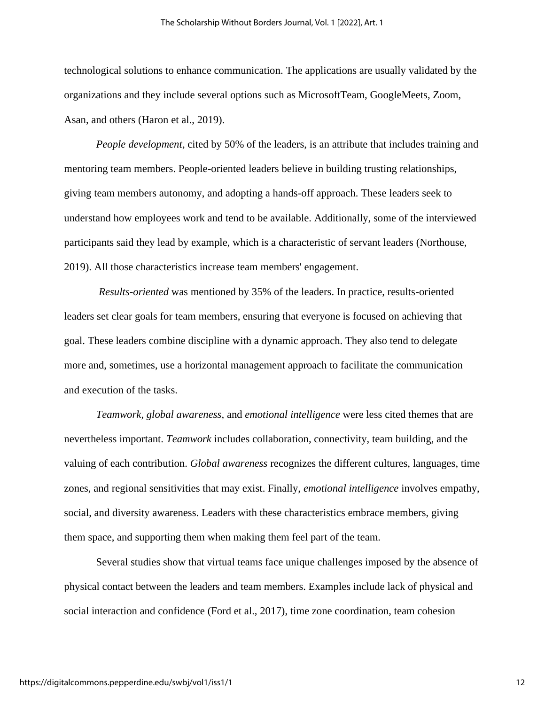technological solutions to enhance communication. The applications are usually validated by the organizations and they include several options such as MicrosoftTeam, GoogleMeets, Zoom, Asan, and others (Haron et al., 2019).

*People development*, cited by 50% of the leaders, is an attribute that includes training and mentoring team members. People-oriented leaders believe in building trusting relationships, giving team members autonomy, and adopting a hands-off approach. These leaders seek to understand how employees work and tend to be available. Additionally, some of the interviewed participants said they lead by example, which is a characteristic of servant leaders (Northouse, 2019). All those characteristics increase team members' engagement.

*Results-oriented* was mentioned by 35% of the leaders. In practice, results-oriented leaders set clear goals for team members, ensuring that everyone is focused on achieving that goal. These leaders combine discipline with a dynamic approach. They also tend to delegate more and, sometimes, use a horizontal management approach to facilitate the communication and execution of the tasks.

*Teamwork, global awareness,* and *emotional intelligence* were less cited themes that are nevertheless important. *Teamwork* includes collaboration, connectivity, team building, and the valuing of each contribution. *Global awareness* recognizes the different cultures, languages, time zones, and regional sensitivities that may exist. Finally, *emotional intelligence* involves empathy, social, and diversity awareness. Leaders with these characteristics embrace members, giving them space, and supporting them when making them feel part of the team.

 Several studies show that virtual teams face unique challenges imposed by the absence of physical contact between the leaders and team members. Examples include lack of physical and social interaction and confidence (Ford et al., 2017), time zone coordination, team cohesion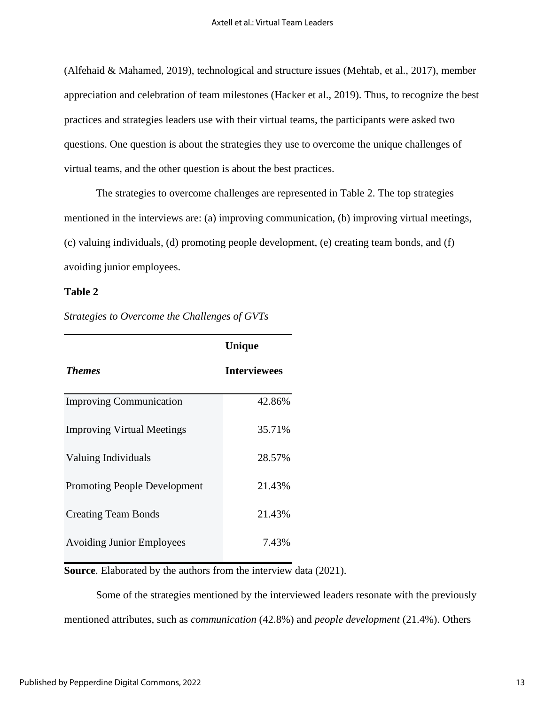(Alfehaid & Mahamed, 2019), technological and structure issues (Mehtab, et al., 2017), member appreciation and celebration of team milestones (Hacker et al., 2019). Thus, to recognize the best practices and strategies leaders use with their virtual teams, the participants were asked two questions. One question is about the strategies they use to overcome the unique challenges of virtual teams, and the other question is about the best practices.

 The strategies to overcome challenges are represented in Table 2. The top strategies mentioned in the interviews are: (a) improving communication, (b) improving virtual meetings, (c) valuing individuals, (d) promoting people development, (e) creating team bonds, and (f) avoiding junior employees.

## **Table 2**

|                                     | Unique              |
|-------------------------------------|---------------------|
| <b>Themes</b>                       | <b>Interviewees</b> |
| <b>Improving Communication</b>      | 42.86%              |
| <b>Improving Virtual Meetings</b>   | 35.71%              |
| Valuing Individuals                 | 28.57%              |
| <b>Promoting People Development</b> | 21.43%              |
| <b>Creating Team Bonds</b>          | 21.43%              |
| <b>Avoiding Junior Employees</b>    | 7.43%               |

*Strategies to Overcome the Challenges of GVTs*

**Source**. Elaborated by the authors from the interview data (2021).

 Some of the strategies mentioned by the interviewed leaders resonate with the previously mentioned attributes, such as *communication* (42.8%) and *people development* (21.4%). Others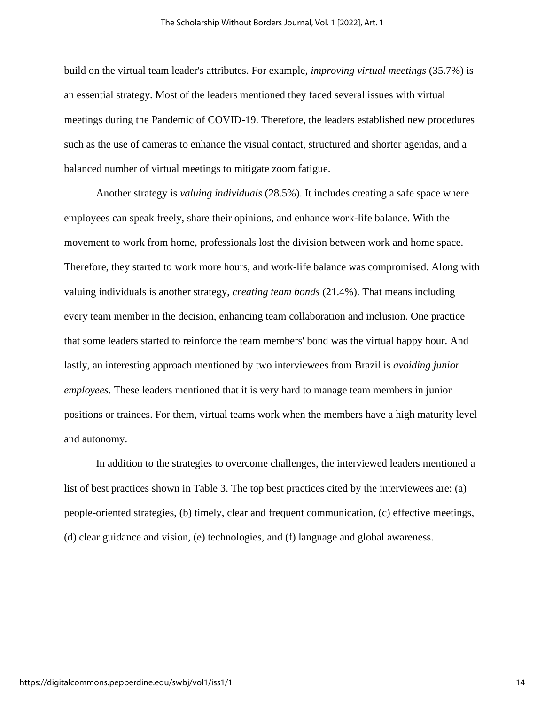build on the virtual team leader's attributes. For example, *improving virtual meetings* (35.7%) is an essential strategy. Most of the leaders mentioned they faced several issues with virtual meetings during the Pandemic of COVID-19. Therefore, the leaders established new procedures such as the use of cameras to enhance the visual contact, structured and shorter agendas, and a balanced number of virtual meetings to mitigate zoom fatigue.

 Another strategy is *valuing individuals* (28.5%). It includes creating a safe space where employees can speak freely, share their opinions, and enhance work-life balance. With the movement to work from home, professionals lost the division between work and home space. Therefore, they started to work more hours, and work-life balance was compromised. Along with valuing individuals is another strategy, *creating team bonds* (21.4%). That means including every team member in the decision, enhancing team collaboration and inclusion. One practice that some leaders started to reinforce the team members' bond was the virtual happy hour. And lastly, an interesting approach mentioned by two interviewees from Brazil is *avoiding junior employees*. These leaders mentioned that it is very hard to manage team members in junior positions or trainees. For them, virtual teams work when the members have a high maturity level and autonomy.

In addition to the strategies to overcome challenges, the interviewed leaders mentioned a list of best practices shown in Table 3. The top best practices cited by the interviewees are: (a) people-oriented strategies, (b) timely, clear and frequent communication, (c) effective meetings, (d) clear guidance and vision, (e) technologies, and (f) language and global awareness.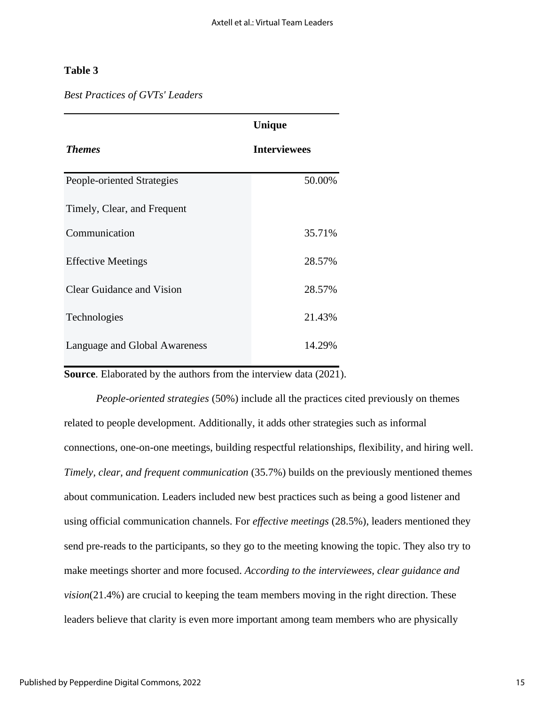## **Table 3**

|  | <b>Best Practices of GVTs' Leaders</b> |
|--|----------------------------------------|
|--|----------------------------------------|

|                                  | Unique              |
|----------------------------------|---------------------|
| <b>Themes</b>                    | <b>Interviewees</b> |
| People-oriented Strategies       | 50.00%              |
| Timely, Clear, and Frequent      |                     |
| Communication                    | 35.71%              |
| <b>Effective Meetings</b>        | 28.57%              |
| <b>Clear Guidance and Vision</b> | 28.57%              |
| Technologies                     | 21.43%              |
| Language and Global Awareness    | 14.29%              |

**Source**. Elaborated by the authors from the interview data (2021).

*People-oriented strategies* (50%) include all the practices cited previously on themes related to people development. Additionally, it adds other strategies such as informal connections, one-on-one meetings, building respectful relationships, flexibility, and hiring well. *Timely, clear, and frequent communication* (35.7%) builds on the previously mentioned themes about communication. Leaders included new best practices such as being a good listener and using official communication channels. For *effective meetings* (28.5%), leaders mentioned they send pre-reads to the participants, so they go to the meeting knowing the topic. They also try to make meetings shorter and more focused. *According to the interviewees, clear guidance and vision*(21.4%) are crucial to keeping the team members moving in the right direction. These leaders believe that clarity is even more important among team members who are physically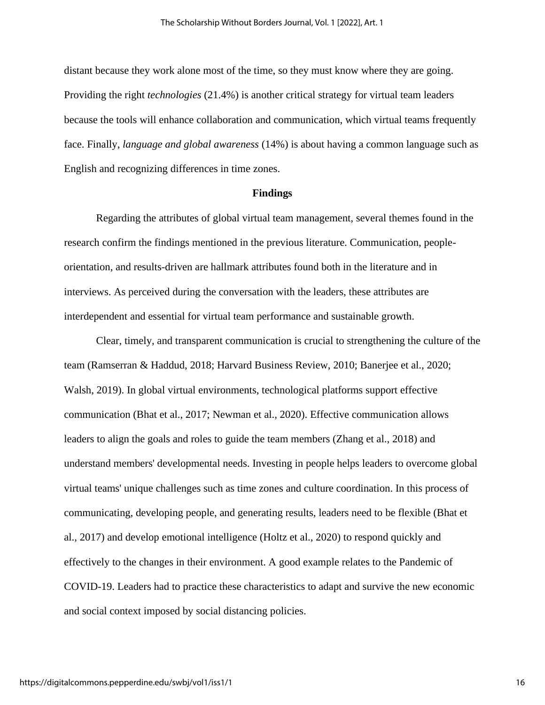distant because they work alone most of the time, so they must know where they are going. Providing the right *technologies* (21.4%) is another critical strategy for virtual team leaders because the tools will enhance collaboration and communication, which virtual teams frequently face. Finally, *language and global awareness* (14%) is about having a common language such as English and recognizing differences in time zones.

## **Findings**

Regarding the attributes of global virtual team management, several themes found in the research confirm the findings mentioned in the previous literature. Communication, peopleorientation, and results-driven are hallmark attributes found both in the literature and in interviews. As perceived during the conversation with the leaders, these attributes are interdependent and essential for virtual team performance and sustainable growth.

Clear, timely, and transparent communication is crucial to strengthening the culture of the team (Ramserran & Haddud, 2018; Harvard Business Review, 2010; Banerjee et al., 2020; Walsh, 2019). In global virtual environments, technological platforms support effective communication (Bhat et al., 2017; Newman et al., 2020). Effective communication allows leaders to align the goals and roles to guide the team members (Zhang et al., 2018) and understand members' developmental needs. Investing in people helps leaders to overcome global virtual teams' unique challenges such as time zones and culture coordination. In this process of communicating, developing people, and generating results, leaders need to be flexible (Bhat et al., 2017) and develop emotional intelligence (Holtz et al., 2020) to respond quickly and effectively to the changes in their environment. A good example relates to the Pandemic of COVID-19. Leaders had to practice these characteristics to adapt and survive the new economic and social context imposed by social distancing policies.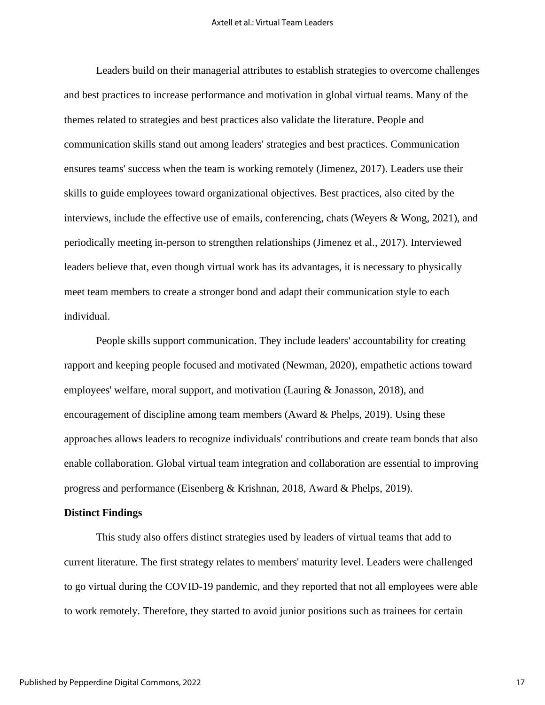Leaders build on their managerial attributes to establish strategies to overcome challenges and best practices to increase performance and motivation in global virtual teams. Many of the themes related to strategies and best practices also validate the literature. People and communication skills stand out among leaders' strategies and best practices. Communication ensures teams' success when the team is working remotely (Jimenez, 2017). Leaders use their skills to guide employees toward organizational objectives. Best practices, also cited by the interviews, include the effective use of emails, conferencing, chats (Weyers & Wong, 2021), and periodically meeting in-person to strengthen relationships (Jimenez et al., 2017). Interviewed leaders believe that, even though virtual work has its advantages, it is necessary to physically meet team members to create a stronger bond and adapt their communication style to each individual.

People skills support communication. They include leaders' accountability for creating rapport and keeping people focused and motivated (Newman, 2020), empathetic actions toward employees' welfare, moral support, and motivation (Lauring & Jonasson, 2018), and encouragement of discipline among team members (Award & Phelps, 2019). Using these approaches allows leaders to recognize individuals' contributions and create team bonds that also enable collaboration. Global virtual team integration and collaboration are essential to improving progress and performance (Eisenberg & Krishnan, 2018, Award & Phelps, 2019).

#### **Distinct Findings**

This study also offers distinct strategies used by leaders of virtual teams that add to current literature. The first strategy relates to members' maturity level. Leaders were challenged to go virtual during the COVID-19 pandemic, and they reported that not all employees were able to work remotely. Therefore, they started to avoid junior positions such as trainees for certain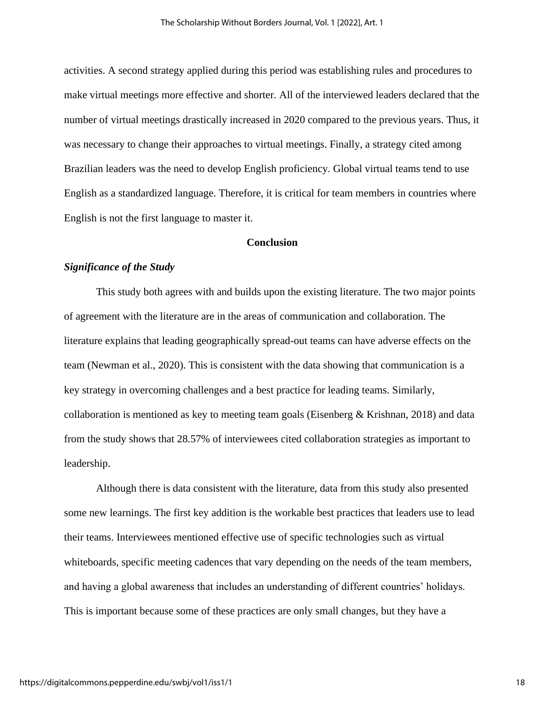activities. A second strategy applied during this period was establishing rules and procedures to make virtual meetings more effective and shorter. All of the interviewed leaders declared that the number of virtual meetings drastically increased in 2020 compared to the previous years. Thus, it was necessary to change their approaches to virtual meetings. Finally, a strategy cited among Brazilian leaders was the need to develop English proficiency. Global virtual teams tend to use English as a standardized language. Therefore, it is critical for team members in countries where English is not the first language to master it.

## **Conclusion**

## *Significance of the Study*

This study both agrees with and builds upon the existing literature. The two major points of agreement with the literature are in the areas of communication and collaboration. The literature explains that leading geographically spread-out teams can have adverse effects on the team (Newman et al., 2020). This is consistent with the data showing that communication is a key strategy in overcoming challenges and a best practice for leading teams. Similarly, collaboration is mentioned as key to meeting team goals (Eisenberg  $\&$  Krishnan, 2018) and data from the study shows that 28.57% of interviewees cited collaboration strategies as important to leadership.

Although there is data consistent with the literature, data from this study also presented some new learnings. The first key addition is the workable best practices that leaders use to lead their teams. Interviewees mentioned effective use of specific technologies such as virtual whiteboards, specific meeting cadences that vary depending on the needs of the team members, and having a global awareness that includes an understanding of different countries' holidays. This is important because some of these practices are only small changes, but they have a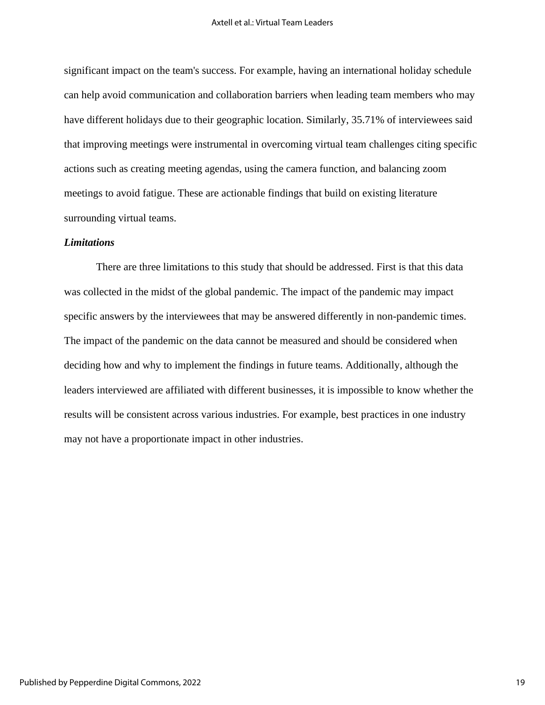significant impact on the team's success. For example, having an international holiday schedule can help avoid communication and collaboration barriers when leading team members who may have different holidays due to their geographic location. Similarly, 35.71% of interviewees said that improving meetings were instrumental in overcoming virtual team challenges citing specific actions such as creating meeting agendas, using the camera function, and balancing zoom meetings to avoid fatigue. These are actionable findings that build on existing literature surrounding virtual teams.

## *Limitations*

There are three limitations to this study that should be addressed. First is that this data was collected in the midst of the global pandemic. The impact of the pandemic may impact specific answers by the interviewees that may be answered differently in non-pandemic times. The impact of the pandemic on the data cannot be measured and should be considered when deciding how and why to implement the findings in future teams. Additionally, although the leaders interviewed are affiliated with different businesses, it is impossible to know whether the results will be consistent across various industries. For example, best practices in one industry may not have a proportionate impact in other industries.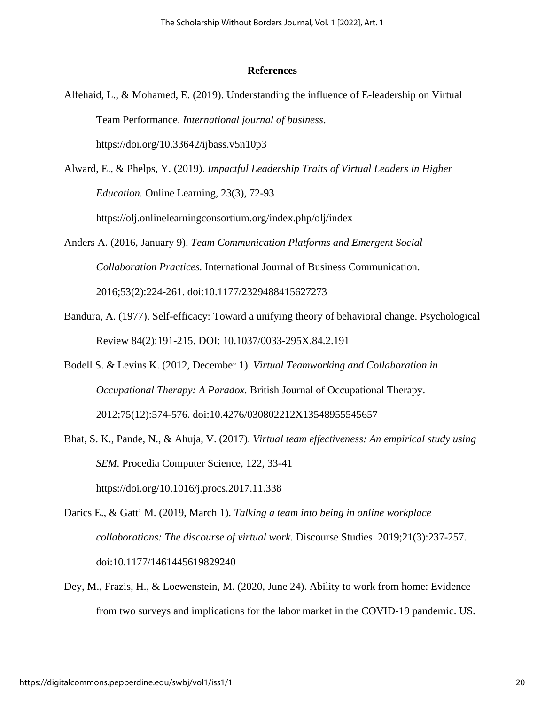## **References**

- Alfehaid, L., & Mohamed, E. (2019). Understanding the influence of E-leadership on Virtual Team Performance. *International journal of business*. https://doi.org/10.33642/ijbass.v5n10p3
- Alward, E., & Phelps, Y. (2019). *Impactful Leadership Traits of Virtual Leaders in Higher Education.* Online Learning, 23(3), 72-93 https://olj.onlinelearningconsortium.org/index.php/olj/index
- Anders A. (2016, January 9). *Team Communication Platforms and Emergent Social Collaboration Practices.* International Journal of Business Communication. 2016;53(2):224-261. doi:10.1177/2329488415627273
- Bandura, A. (1977). Self-efficacy: Toward a unifying theory of behavioral change. Psychological Review 84(2):191-215. DOI: 10.1037/0033-295X.84.2.191
- Bodell S. & Levins K. (2012, December 1). *Virtual Teamworking and Collaboration in Occupational Therapy: A Paradox.* British Journal of Occupational Therapy. 2012;75(12):574-576. doi:10.4276/030802212X13548955545657
- Bhat, S. K., Pande, N., & Ahuja, V. (2017). *Virtual team effectiveness: An empirical study using SEM*. Procedia Computer Science, 122, 33-41 https://doi.org/10.1016/j.procs.2017.11.338
- Darics E., & Gatti M. (2019, March 1). *Talking a team into being in online workplace collaborations: The discourse of virtual work.* Discourse Studies. 2019;21(3):237-257. doi:10.1177/1461445619829240
- Dey, M., Frazis, H., & Loewenstein, M. (2020, June 24). Ability to work from home: Evidence from two surveys and implications for the labor market in the COVID-19 pandemic. US.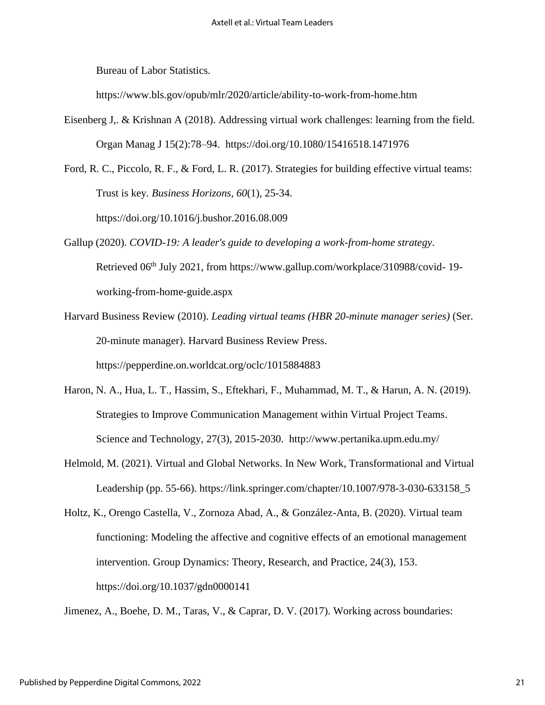Bureau of Labor Statistics.

https://www.bls.gov/opub/mlr/2020/article/ability-to-work-from-home.htm

Eisenberg J,. & Krishnan A (2018). Addressing virtual work challenges: learning from the field. Organ Manag J 15(2):78–94. https://doi.org/10.1080/15416518.1471976

Ford, R. C., Piccolo, R. F., & Ford, L. R. (2017). Strategies for building effective virtual teams: Trust is key*. Business Horizons*, *60*(1), 25-34. https://doi.org/10.1016/j.bushor.2016.08.009

- Gallup (2020). *COVID-19: A leader's guide to developing a work-from-home strategy*. Retrieved 06<sup>th</sup> July 2021, from https://www.gallup.com/workplace/310988/covid-19working-from-home-guide.aspx
- Harvard Business Review (2010). *Leading virtual teams (HBR 20-minute manager series)* (Ser. 20-minute manager). Harvard Business Review Press. https://pepperdine.on.worldcat.org/oclc/1015884883
- Haron, N. A., Hua, L. T., Hassim, S., Eftekhari, F., Muhammad, M. T., & Harun, A. N. (2019). Strategies to Improve Communication Management within Virtual Project Teams. Science and Technology, 27(3), 2015-2030. http://www.pertanika.upm.edu.my/
- Helmold, M. (2021). Virtual and Global Networks. In New Work, Transformational and Virtual Leadership (pp. 55-66). https://link.springer.com/chapter/10.1007/978-3-030-633158\_5

Holtz, K., Orengo Castella, V., Zornoza Abad, A., & González-Anta, B. (2020). Virtual team functioning: Modeling the affective and cognitive effects of an emotional management intervention. Group Dynamics: Theory, Research, and Practice, 24(3), 153. https://doi.org/10.1037/gdn0000141

Jimenez, A., Boehe, D. M., Taras, V., & Caprar, D. V. (2017). Working across boundaries: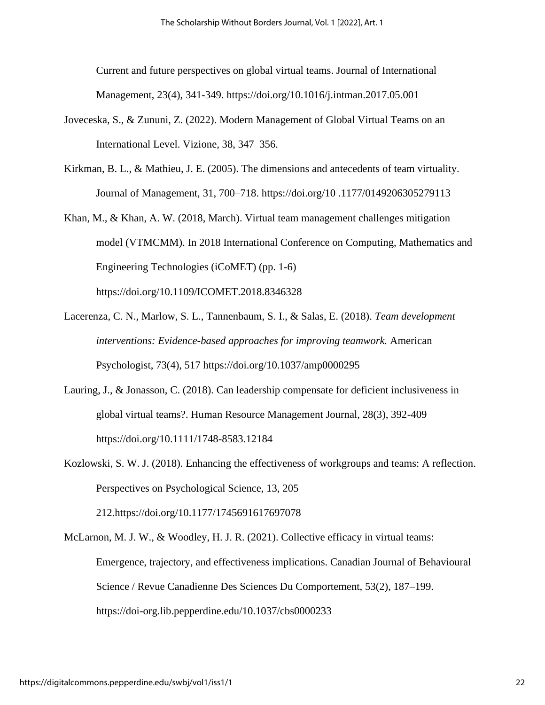Current and future perspectives on global virtual teams. Journal of International Management, 23(4), 341-349. https://doi.org/10.1016/j.intman.2017.05.001

- Joveceska, S., & Zununi, Z. (2022). Modern Management of Global Virtual Teams on an International Level. Vizione, 38, 347–356.
- Kirkman, B. L., & Mathieu, J. E. (2005). The dimensions and antecedents of team virtuality. Journal of Management, 31, 700–718. https://doi.org/10 .1177/0149206305279113
- Khan, M., & Khan, A. W. (2018, March). Virtual team management challenges mitigation model (VTMCMM). In 2018 International Conference on Computing, Mathematics and Engineering Technologies (iCoMET) (pp. 1-6) https://doi.org/10.1109/ICOMET.2018.8346328
- Lacerenza, C. N., Marlow, S. L., Tannenbaum, S. I., & Salas, E. (2018). *Team development interventions: Evidence-based approaches for improving teamwork.* American Psychologist, 73(4), 517 https://doi.org/10.1037/amp0000295
- Lauring, J., & Jonasson, C. (2018). Can leadership compensate for deficient inclusiveness in global virtual teams?. Human Resource Management Journal, 28(3), 392-409 https://doi.org/10.1111/1748-8583.12184
- Kozlowski, S. W. J. (2018). Enhancing the effectiveness of workgroups and teams: A reflection. Perspectives on Psychological Science, 13, 205– 212.https://doi.org/10.1177/1745691617697078
- McLarnon, M. J. W., & Woodley, H. J. R. (2021). Collective efficacy in virtual teams: Emergence, trajectory, and effectiveness implications. Canadian Journal of Behavioural Science / Revue Canadienne Des Sciences Du Comportement, 53(2), 187–199. https://doi-org.lib.pepperdine.edu/10.1037/cbs0000233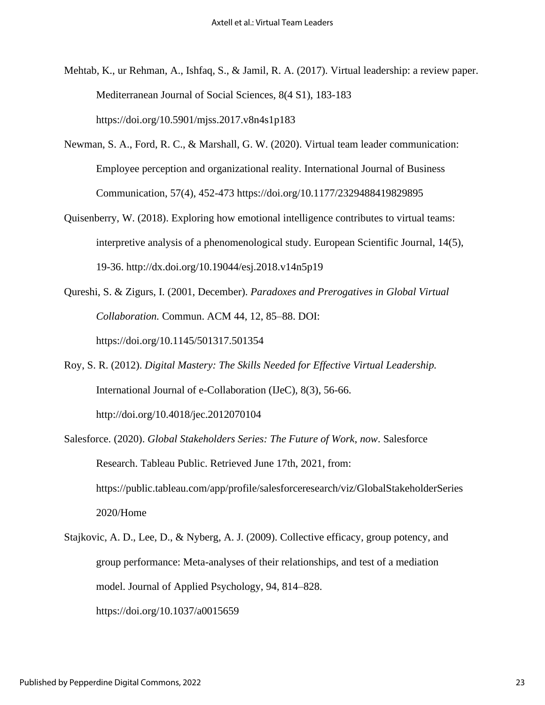- Mehtab, K., ur Rehman, A., Ishfaq, S., & Jamil, R. A. (2017). Virtual leadership: a review paper. Mediterranean Journal of Social Sciences, 8(4 S1), 183-183 https://doi.org/10.5901/mjss.2017.v8n4s1p183
- Newman, S. A., Ford, R. C., & Marshall, G. W. (2020). Virtual team leader communication: Employee perception and organizational reality. International Journal of Business Communication, 57(4), 452-473 https://doi.org/10.1177/2329488419829895
- Quisenberry, W. (2018). Exploring how emotional intelligence contributes to virtual teams: interpretive analysis of a phenomenological study. European Scientific Journal, 14(5), 19-36. http://dx.doi.org/10.19044/esj.2018.v14n5p19
- Qureshi, S. & Zigurs, I. (2001, December). *Paradoxes and Prerogatives in Global Virtual Collaboration.* Commun. ACM 44, 12, 85–88. DOI: https://doi.org/10.1145/501317.501354
- Roy, S. R. (2012). *Digital Mastery: The Skills Needed for Effective Virtual Leadership.*  International Journal of e-Collaboration (IJeC), 8(3), 56-66. http://doi.org/10.4018/jec.2012070104
- Salesforce. (2020). *Global Stakeholders Series: The Future of Work*, *now*. Salesforce Research. Tableau Public. Retrieved June 17th, 2021, from: https://public.tableau.com/app/profile/salesforceresearch/viz/GlobalStakeholderSeries 2020/Home
- Stajkovic, A. D., Lee, D., & Nyberg, A. J. (2009). Collective efficacy, group potency, and group performance: Meta-analyses of their relationships, and test of a mediation model. Journal of Applied Psychology, 94, 814–828. https://doi.org/10.1037/a0015659